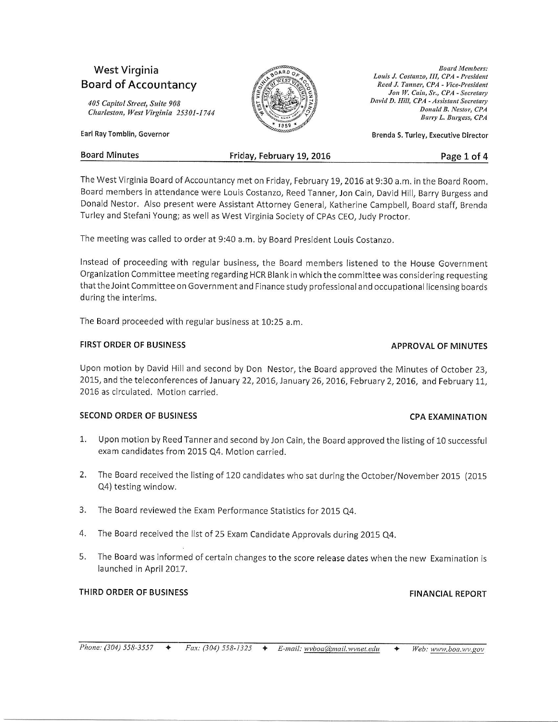# West Virginia **Board of Accountancy**

405 Copitol Street, Saite 908 Charleston, West Virginia 25301-1744

Earl RayTomblin, covernor



**Board Members:** Louis J. Costanzo, III, CPA - President Reed J. Tanner, CPA - Vice-President Jon W. Cain, Sr., CPA - Secretary David D. Hill, CPA - Assistant Secretary Donald B. Nestor, CPA Bsrry L, Buryess, CPA

Brenda S. Turley, Executive Director

| <b>Board Minutes</b> | Friday, February 19, 2016 | Page 1 of 4 |
|----------------------|---------------------------|-------------|
|----------------------|---------------------------|-------------|

The West Virginia Board of Accountancy met on Friday, February 19, 2016 at 9:30 a.m. in the Board Room. Board members in attendance were Louis Costanzo, Reed Tanner, Jon Cain, David Hill, Barry Burgess and Donald Nestor. Also present were Assistant Attorney General, Katherine Campbell, Board staff, Brenda Turley and Stefani Young; as well as West Virginia Society of CpAs CEO, Judy proctor.

The meeting was called to order at 9:40 a.m. bv Board president Louis Costanzo.

Instead of proceeding wlth regular business, the Board members listened to the House Governmenr Organization Committee meeting regarding HCR Blank in which the committee was considering requesting that the Joint Committee on Government and Finance study professional and occupational licensing boards during the interims.

The Board proceeded with regular business at 10:25 a.m.

# FIRST ORDER OF BUSINESS AND RESOLUTION OF MINUTES

# Upon motion by David Hill and second by Don Nestor, the Board approved the Minutes of October 23, 2015, and the teleconferences of January 22, 2016, January 26, 2016, February 2, 2016, and February 11, 2016 as circulated. Motion carried.

# SECOND ORDER OF BUSINESS CONTROL TO A CHARGE OF SECOND ORDER OF BUSINESS

- 1. Upon motion by Reed Tanner and second by Jon Cain, the Board approved the listing of 10 successful exam candidates from 2015 Q4. Motion carried.
- 2. The Board received the listing of 120 candidates who sat during the October/November 2015 (2015 Q4) testing window.
- 3. The Board reviewed the Exam Performance Statistics for 2015 Q4.
- 4. The Board received the list of 25 Exam Candidate Approvals during 2015 Q4.
- 5. The Board was informed of certain changes to the score release dates when the new Examination is launched in April 2017.

# THIRD ORDER OF BUSINESS FINANCIAL REPORT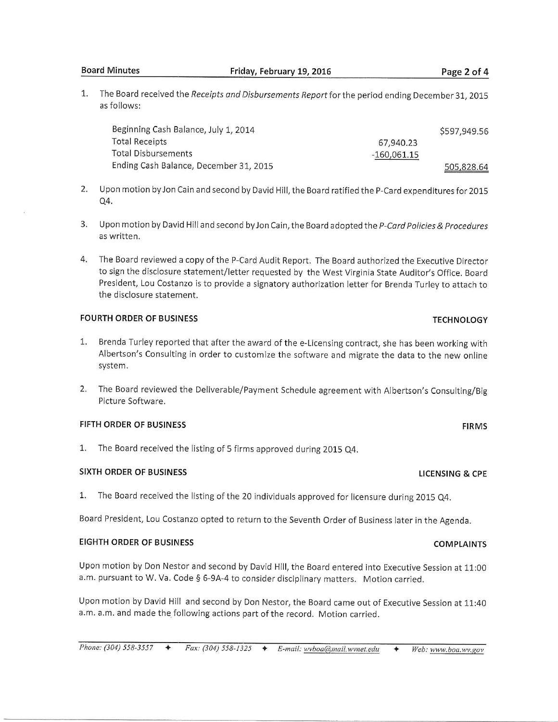**Board Minutes** 

1. The Board received the Receipts and Disbursements Report for the period ending December 31, 2015 as follows:

| Beginning Cash Balance, July 1, 2014   |             | \$597,949.56 |
|----------------------------------------|-------------|--------------|
| <b>Total Receipts</b>                  | 67,940.23   |              |
| Total Disbursements                    | -160,061.15 |              |
| Ending Cash Balance, December 31, 2015 |             | 505,828.64   |

- 2. Upon motion by Jon Cain and second by David Hill, the Board ratified the P-Card expenditures for 2015 Q4.
- 3. Upon motion by David Hill and second by Jon Cain, the Board adopted the *P-Card Policies & Procedures* as written.
- 4. The Board reviewed a copy of the P-Card Audit Report. The Board authorized the Executive Director to sign the disclosure statement/letter requested by the West Virginia State Auditor's Office. Board President, Lou Costanzo is to provide a signatory authorization letter for Brenda Turley to attach to the disclosure statement.

### FOURTH ORDER OF BUSINESS TECHNOLOGY TECHNOLOGY

- L. Brenda Turley reported that after the award of the e-Licensing contract, she has been working with Albertson's Consulting in order to customize the software and migrate the data to the new online system.
- 2. The Board reviewed the Deliverable/Payment Schedule agreement with Albertson's Consulting/Big Picture Software.

# FIFTH ORDER OF BUSINESS FIRMS

1. The Board received the listing of 5 firms approved during 2015 Q4.

### SIXTH ORDER OF BUSINESS **SIXTH** ORDER OF BUSINESS

1. The Board received the listing of the 20 individuals approved for licensure during 2015 Q4.

Board President, Lou Costanzo opted to return to the Seventh Order of Business later in the Agenda.

### EIGHTH ORDER OF BUSINESS COMPLAINTS

Upon motion by Don Nestor and second by David Hill, the Board entered into Executive Session at 11:00 a.m. pursuant to W. Va. Code § 6-9A-4 to consider disciplinary matters. Motion carried.

Upon motion by David Hill and second by Don Nestor, the Board came out of Executive Sesslon at L1:40 a.m. a.m. and made the following actions part of the record. Motion carried.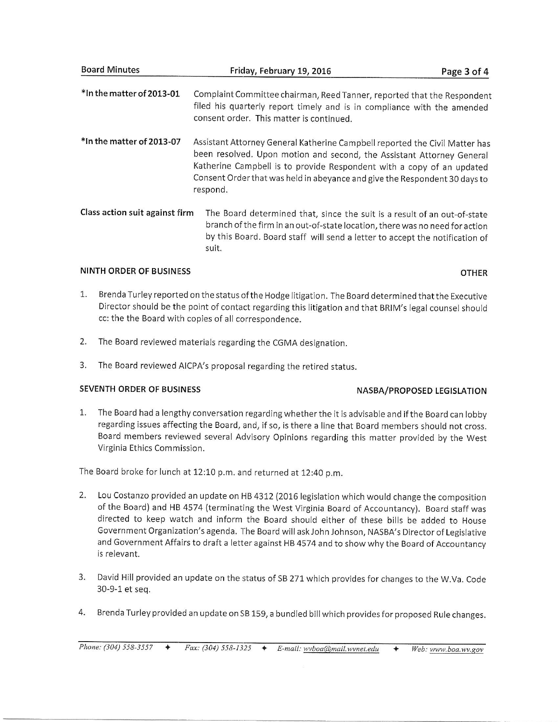| Board Minutes                  | Friday, February 19, 2016                                                                                                                                                                                                                                                                                               | Page 3 of 4 |
|--------------------------------|-------------------------------------------------------------------------------------------------------------------------------------------------------------------------------------------------------------------------------------------------------------------------------------------------------------------------|-------------|
| *In the matter of 2013-01      | Complaint Committee chairman, Reed Tanner, reported that the Respondent<br>filed his quarterly report timely and is in compliance with the amended<br>consent order. This matter is continued.                                                                                                                          |             |
| *In the matter of 2013-07      | Assistant Attorney General Katherine Campbell reported the Civil Matter has<br>been resolved. Upon motion and second, the Assistant Attorney General<br>Katherine Campbell is to provide Respondent with a copy of an updated<br>Consent Order that was held in abeyance and give the Respondent 30 days to<br>respond. |             |
| Class action suit against firm | The Board determined that, since the suit is a result of an out-of-state<br>branch of the firm in an out-of-state location, there was no need for action<br>by this Board. Board staff will send a letter to accept the notification of<br>suit.                                                                        |             |

# NINTH ORDER OF BUSINESS OF THE SERVICE OF SALE AND THE SERVICE OF SALE AND THE SERVICE OF SALE AND THE SERVICE OF SALE AND THE SERVICE OF SALE AND THE SERVICE OF SALE AND THE SERVICE OF SALE AND THE SERVICE OF SALE AND THE

**Contract** 

- 1. Brenda Turley reported on the status of the Hodge litigation. The Board determined that the Executive Director should be the point of contact regarding this litigation and that BRIM's legal counsel should cc: the the Board with copies of all correspondence.
- 2. The Board reviewed materials regarding the CGMA designation.
- 3. The Board reviewed AICPA'S proposal regarding the retired status.

# SEVENTH ORDER OF BUSINESS NASBA/PROPOSED LEGISLATION

1. The Board had a lengthy conversation regarding whether the it is advisable and if the Board can lobby regarding issues affecting the Board, and, if so, is there a line that Board members should not cross. Board members reviewed several Advisory Opinions regarding this matter provided by the West Virginia Ethics Commission.

The Board broke for lunch at 12:10 p.m. and returned at 12:40 p.m.

- 2. Lou Costanzo provided an update on HB 4312 (2016 legislation which would change the composition of the Board) and HB 4574 (terminating the West Virginia Board of Accountancy). Board staff was directed to keep watch and inform the Board should either of these bills be added to House Government Organization's agenda. The Board will ask John Johnson, NASBA's Director of Legislative and Government Affairs to draft a letter against HB 4574 and to show why the Board of Accountancy is relevant.
- 3. David Hill provided an update on the status of SB 271 which provides for changes to the W.Va. Code 30-9-1 et seq.
- 4. Brenda Turley provided an update on SB 159, a bundled billwhich provides for proposed Rule changes.